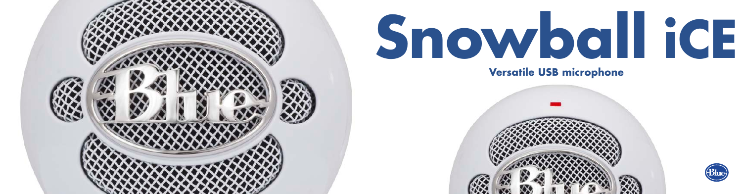

# **Snowball iCE**

**Versatile USB microphone**



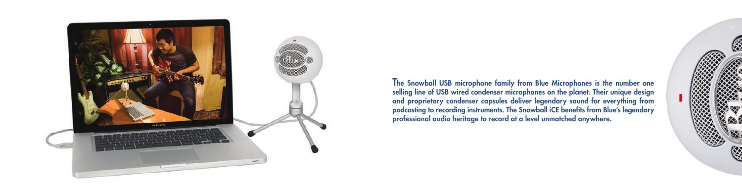

The Snowball USB microphone family from Blue Microphones is the number one selling line of USB wired condenser microphones on the planet. Their unique design and proprietary condenser capsules deliver legendary sound for everything from podcasting to recording instruments. The Snowball iCE benefits from Blue's legendary professional audio heritage to record at a level unmatched anywhere.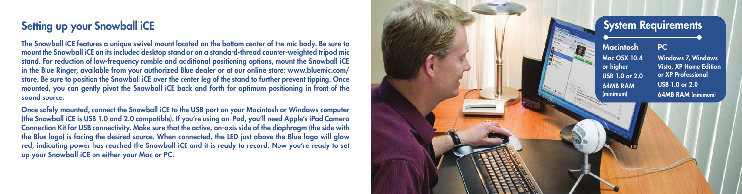# Setting up your Snowball iCE

The Snowball iCE features a unique swivel mount located on the bottom center of the mic body. Be sure to mount the Snowball iCE on its included desktop stand or on a standard-thread counter-weighted tripod mic stand. For reduction of low-frequency rumble and additional positioning options, mount the Snowball iCE in the Blue Ringer, available from your authorized Blue dealer or at our online store: www.bluemic.com/ store. Be sure to position the Snowball iCE over the center leg of the stand to further prevent tipping. Once mounted, you can gently pivot the Snowball iCE back and forth for optimum positioning in front of the sound source.

Once safely mounted, connect the Snowball iCE to the USB port on your Macintosh or Windows computer (the Snowball iCE is USB 1.0 and 2.0 compatible). If you're using an iPad, you'll need Apple's iPad Camera Connection Kit for USB connectivity. Make sure that the active, on-axis side of the diaphragm (the side with the Blue logo) is facing the desired source. When connected, the LED just above the Blue logo will glow red, indicating power has reached the Snowball iCE and it is ready to record. Now you're ready to set up your Snowball iCE on either your Mac or PC.

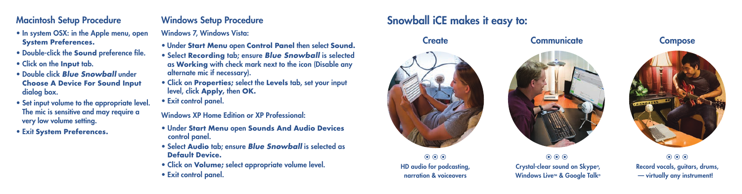Macintosh Setup Procedure

- In system OSX: in the Apple menu, open **System Preferences.**
- Double-click the **Sound** preference file.
- Click on the **Input** tab.

• Double click *Blue Snowball* under **Choose A Device For Sound Input** dialog box.

- Set input volume to the appropriate level. The mic is sensitive and may require a very low volume setting.
- Exit **System Preferences.**

Windows Setup Procedure

Windows 7, Windows Vista:

- Under **Start Menu** open **Control Panel** then select **Sound.**
- Select **Recording** tab; ensure *Blue Snowball* is selected as **Working** with check mark next to the icon (Disable any alternate mic if necessary).
- Click on **Properties;** select the **Levels** tab, set your input level, click **Apply,** then **OK.**

• Exit control panel.

Windows XP Home Edition or XP Professional:

- Under **Start Menu** open **Sounds And Audio Devices** control panel.
- Select **Audio** tab; ensure *Blue Snowball* is selected as **Default Device.**
- Click on **Volume;** select appropriate volume level.
- Exit control panel.

# Snowball iCE makes it easy to:



HD audio for podcasting, narration & voiceovers

 $\odot$   $\odot$   $\odot$ 





 $\odot$   $\odot$   $\odot$ Crystal-clear sound on Skype® , Windows Live™ & Google Talk® Compose



 $\odot$   $\odot$   $\odot$ Record vocals, guitars, drums, — virtually any instrument!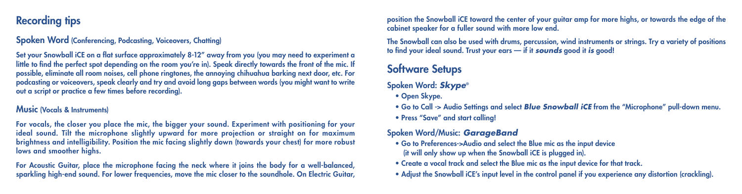# Recording tips

# Spoken Word (Conferencing, Podcasting, Voiceovers, Chatting)

Set your Snowball iCE on a flat surface approximately 8-12" away from you (you may need to experiment a little to find the perfect spot depending on the room you're in). Speak directly towards the front of the mic. If possible, eliminate all room noises, cell phone ringtones, the annoying chihuahua barking next door, etc. For podcasting or voiceovers, speak clearly and try and avoid long gaps between words (you might want to write out a script or practice a few times before recording).

### Music (Vocals & Instruments)

For vocals, the closer you place the mic, the bigger your sound. Experiment with positioning for your ideal sound. Tilt the microphone slightly upward for more projection or straight on for maximum brightness and intelligibility. Position the mic facing slightly down (towards your chest) for more robust lows and smoother highs.

For Acoustic Guitar, place the microphone facing the neck where it joins the body for a well-balanced, sparkling high-end sound. For lower frequencies, move the mic closer to the soundhole. On Electric Guitar, position the Snowball iCE toward the center of your guitar amp for more highs, or towards the edge of the cabinet speaker for a fuller sound with more low end.

The Snowball can also be used with drums, percussion, wind instruments or strings. Try a variety of positions to find your ideal sound. Trust your ears — if it *sounds* good it *is* good!

# Software Setups

# Spoken Word: *Skype*®

- Open Skype.
- Go to Call -> Audio Settings and select *Blue Snowball iCE* from the "Microphone" pull-down menu. • Press "Save" and start calling!

# Spoken Word/Music: *GarageBand*

- Go to Preferences->Audio and select the Blue mic as the input device (it will only show up when the Snowball iCE is plugged in).
- Create a vocal track and select the Blue mic as the input device for that track.
- Adjust the Snowball iCE's input level in the control panel if you experience any distortion (crackling).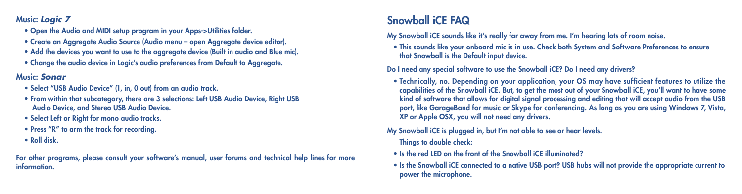## Music: *Logic 7*

• Open the Audio and MIDI setup program in your Apps->Utilities folder.

- Create an Aggregate Audio Source (Audio menu open Aggregate device editor).
- Add the devices you want to use to the aggregate device (Built in audio and Blue mic).
- Change the audio device in Logic's audio preferences from Default to Aggregate.

# Music: *Sonar*

- Select "USB Audio Device" (1, in, 0 out) from an audio track.
- From within that subcategory, there are 3 selections: Left USB Audio Device, Right USB Audio Device, and Stereo USB Audio Device.
- Select Left or Right for mono audio tracks.
- Press "R" to arm the track for recording.
- Roll disk.

For other programs, please consult your software's manual, user forums and technical help lines for more information.

# Snowball iCE FAQ

# My Snowball iCE sounds like it's really far away from me. I'm hearing lots of room noise.

 • This sounds like your onboard mic is in use. Check both System and Software Preferences to ensure that Snowball is the Default input device.

# Do I need any special software to use the Snowball iCE? Do I need any drivers?

 • Technically, no. Depending on your application, your OS may have sufficient features to utilize the capabilities of the Snowball iCE. But, to get the most out of your Snowball iCE, you'll want to have some kind of software that allows for digital signal processing and editing that will accept audio from the USB port, like GarageBand for music or Skype for conferencing. As long as you are using Windows 7, Vista, XP or Apple OSX, you will not need any drivers.

## My Snowball iCE is plugged in, but I'm not able to see or hear levels. Things to double check:

## • Is the red LED on the front of the Snowball iCE illuminated?

 • Is the Snowball iCE connected to a native USB port? USB hubs will not provide the appropriate current to power the microphone.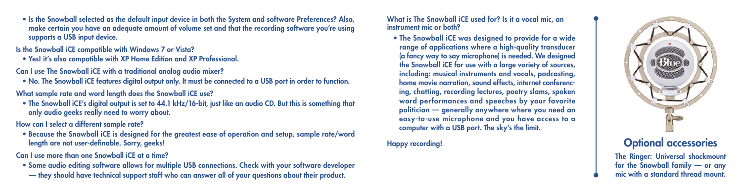- Is the Snowball selected as the default input device in both the System and software Preferences? Also, make certain you have an adequate amount of volume set and that the recording software you're using supports a USB input device.
- Is the Snowball iCE compatible with Windows 7 or Vista?
- Yes! it's also compatible with XP Home Edition and XP Professional.
- Can I use The Snowball iCE with a traditional analog audio mixer?
- No. The Snowball iCE features digital output only. It must be connected to a USB port in order to function.
- What sample rate and word length does the Snowball iCE use?
- The Snowball iCE's digital output is set to 44.1 kHz/16-bit, just like an audio CD. But this is something that only audio geeks really need to worry about.

How can I select a different sample rate?

 • Because the Snowball iCE is designed for the greatest ease of operation and setup, sample rate/word length are not user-definable. Sorry, geeks!

Can I use more than one Snowball iCE at a time?

- Some audio editing software allows for multiple USB connections. Check with your software developer
	- they should have technical support staff who can answer all of your questions about their product.

#### What is The Snowball iCE used for? Is it a vocal mic, an instrument mic or both?

 • The Snowball iCE was designed to provide for a wide range of applications where a high-quality transducer (a fancy way to say microphone) is needed. We designed the Snowball iCE for use with a large variety of sources, including: musical instruments and vocals, podcasting, home movie narration, sound effects, internet conferenc ing, chatting, recording lectures, poetry slams, spoken word performances and speeches by your favorite politician — generally anywhere where you need an easy-to-use microphone and you have access to a computer with a USB port. The sky's the limit.

Happy recording!



mic with a standard thread mount.